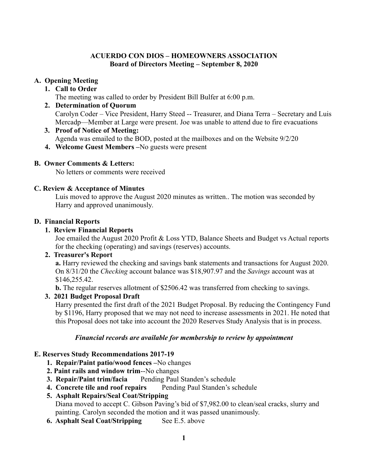#### **ACUERDO CON DIOS – HOMEOWNERS ASSOCIATION Board of Directors Meeting – September 8, 2020**

## **A. Opening Meeting**

## **1. Call to Order**

The meeting was called to order by President Bill Bulfer at 6:00 p.m.

- **2. Determination of Quorum** Carolyn Coder – Vice President, Harry Steed -- Treasurer, and Diana Terra – Secretary and Luis Mercadp—Member at Large were present. Joe was unable to attend due to fire evacuations
- **3. Proof of Notice of Meeting:**  Agenda was emailed to the BOD, posted at the mailboxes and on the Website 9/2/20
- **4. Welcome Guest Members –**No guests were present

## **B. Owner Comments & Letters:**

No letters or comments were received

#### **C. Review & Acceptance of Minutes**

Luis moved to approve the August 2020 minutes as written.. The motion was seconded by Harry and approved unanimously.

#### **D. Financial Reports**

## **1. Review Financial Reports**

Joe emailed the August 2020 Profit & Loss YTD, Balance Sheets and Budget vs Actual reports for the checking (operating) and savings (reserves) accounts.

## **2. Treasurer's Report**

**a.** Harry reviewed the checking and savings bank statements and transactions for August 2020. On 8/31/20 the *Checking* account balance was \$18,907.97 and the *Savings* account was at \$146,255.42.

**b.** The regular reserves allotment of \$2506.42 was transferred from checking to savings.

## **3. 2021 Budget Proposal Draft**

Harry presented the first draft of the 2021 Budget Proposal. By reducing the Contingency Fund by \$1196, Harry proposed that we may not need to increase assessments in 2021. He noted that this Proposal does not take into account the 2020 Reserves Study Analysis that is in process.

#### *Financial records are available for membership to review by appointment*

## **E. Reserves Study Recommendations 2017-19**

- **1. Repair/Paint patio/wood fences –**No changes
- **2. Paint rails and window trim**--No changes
- **3. Repair/Paint trim/facia** Pending Paul Standen's schedule
- 4. Concrete tile and roof repairs Pending Paul Standen's schedule
- **5. Asphalt Repairs/Seal Coat/Stripping**

Diana moved to accept C. Gibson Paving's bid of \$7,982.00 to clean/seal cracks, slurry and painting. Carolyn seconded the motion and it was passed unanimously.

**6. Asphalt Seal Coat/Stripping** See E.5. above